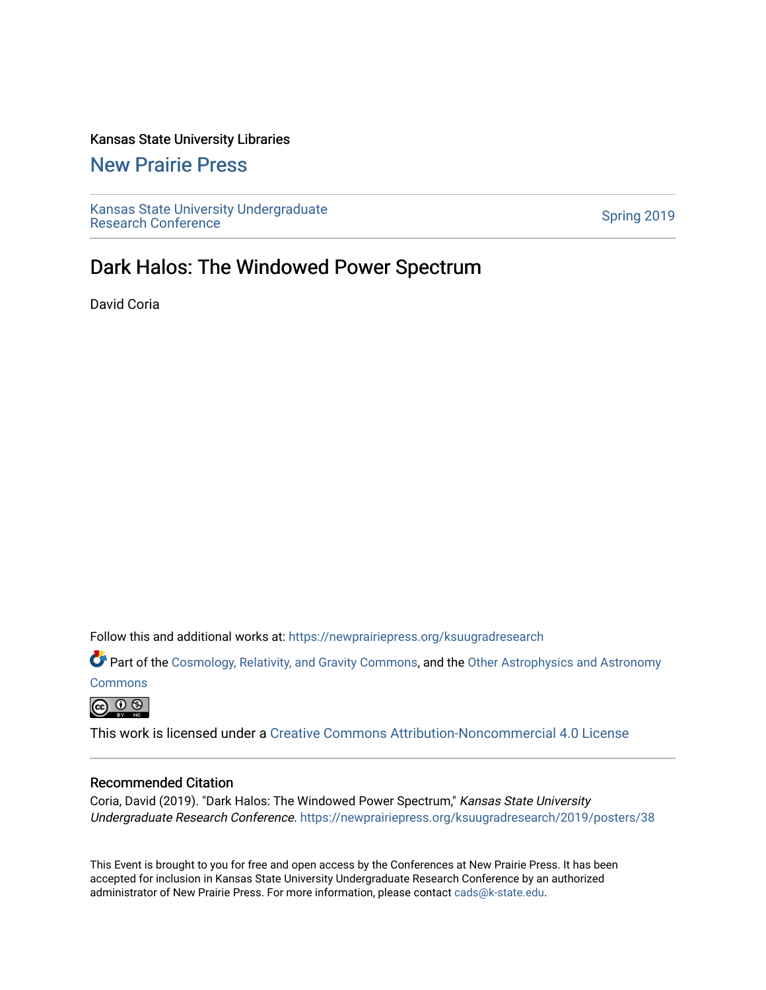# Kansas State University Libraries

# [New Prairie Press](https://newprairiepress.org/)

[Kansas State University Undergraduate](https://newprairiepress.org/ksuugradresearch)  Ransas State University Undergraduate<br>[Research Conference](https://newprairiepress.org/ksuugradresearch)

# Dark Halos: The Windowed Power Spectrum

David Coria

Follow this and additional works at: [https://newprairiepress.org/ksuugradresearch](https://newprairiepress.org/ksuugradresearch?utm_source=newprairiepress.org%2Fksuugradresearch%2F2019%2Fposters%2F38&utm_medium=PDF&utm_campaign=PDFCoverPages) 

Part of the [Cosmology, Relativity, and Gravity Commons,](http://network.bepress.com/hgg/discipline/129?utm_source=newprairiepress.org%2Fksuugradresearch%2F2019%2Fposters%2F38&utm_medium=PDF&utm_campaign=PDFCoverPages) and the Other Astrophysics and Astronomy

**[Commons](http://network.bepress.com/hgg/discipline/130?utm_source=newprairiepress.org%2Fksuugradresearch%2F2019%2Fposters%2F38&utm_medium=PDF&utm_campaign=PDFCoverPages)** 

 $\circledcirc$ 

This work is licensed under a [Creative Commons Attribution-Noncommercial 4.0 License](https://creativecommons.org/licenses/by-nc/4.0/)

# Recommended Citation

Coria, David (2019). "Dark Halos: The Windowed Power Spectrum," Kansas State University Undergraduate Research Conference.<https://newprairiepress.org/ksuugradresearch/2019/posters/38>

This Event is brought to you for free and open access by the Conferences at New Prairie Press. It has been accepted for inclusion in Kansas State University Undergraduate Research Conference by an authorized administrator of New Prairie Press. For more information, please contact [cads@k-state.edu](mailto:cads@k-state.edu).